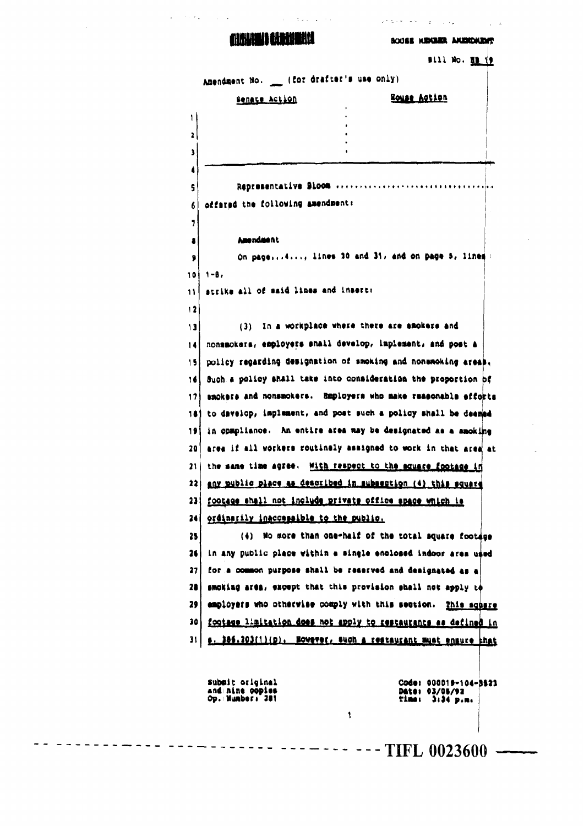## **ANNUAL MANAHA**

 $\sim$  to a set of  $\sim$ 

 $\mathbf{u} = \{u_1, u_2, \ldots, u_n\}$  .

BOOSE KEKEER AKERDAENT

 $\sim 10^{11}$  km s  $^{-1}$ 

 $\sim 10^{-1}$  at

 $\sim$  25 km s  $^{-1}$  and  $\sim$ 

| offated the following amendment: | Representative Sloom                                                                              |
|----------------------------------|---------------------------------------------------------------------------------------------------|
|                                  |                                                                                                   |
|                                  |                                                                                                   |
|                                  |                                                                                                   |
|                                  |                                                                                                   |
|                                  |                                                                                                   |
|                                  |                                                                                                   |
|                                  |                                                                                                   |
| <b>Amendment</b>                 |                                                                                                   |
|                                  | On page, , lines 10 and 31, and on page 5, lines:                                                 |
| $1 - B$ ,                        |                                                                                                   |
|                                  |                                                                                                   |
|                                  |                                                                                                   |
|                                  | (3) In a workplace where there are emokers and                                                    |
|                                  | nonsmokers, employers shall develop, implement, and post a                                        |
|                                  | policy regarding designation of smoking and nonemoking areas.                                     |
|                                  | Such a policy shall take into consideration the proportion of                                     |
|                                  | smokers and nonsmokers. Employers who make reasonable efforts                                     |
|                                  | to davelop, implement, and post such a policy shall be deemed                                     |
|                                  | in opmpliance. An entire area may be designated as a amoking                                      |
|                                  | area if all workers routinaly assigned to work in that area at                                    |
|                                  | the same time agree. With respect to the square footage in                                        |
|                                  | any public place as described in subsection (4) this square                                       |
|                                  | footage shall not include private office space which is                                           |
|                                  |                                                                                                   |
|                                  | (4) No more than one-half of the total square footage                                             |
|                                  | in any public place within a single enclosed indoor area used                                     |
|                                  | for a common purpose shall be reserved and designated as a                                        |
|                                  | smoking area, except that this provision shall not apply to                                       |
|                                  | employers who otherwise comply with this section.<br>This square                                  |
|                                  | footage limitation does not apply to restaurants as defined in                                    |
|                                  | s. 186.203(1)(p). Ecwever, such a restaurant must ensure that                                     |
|                                  | strike all of maid lines and insert:<br>ordinarily inaccessible to the public.<br>submit original |

---------- ---------- ------- --- TIFL 0023600 -